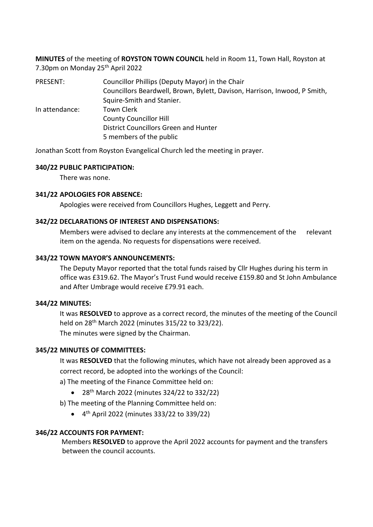**MINUTES** of the meeting of **ROYSTON TOWN COUNCIL** held in Room 11, Town Hall, Royston at 7.30pm on Monday 25th April 2022

PRESENT: Councillor Phillips (Deputy Mayor) in the Chair Councillors Beardwell, Brown, Bylett, Davison, Harrison, Inwood, P Smith, Squire-Smith and Stanier. In attendance: Town Clerk County Councillor Hill District Councillors Green and Hunter 5 members of the public

Jonathan Scott from Royston Evangelical Church led the meeting in prayer.

#### **340/22 PUBLIC PARTICIPATION:**

There was none.

#### **341/22 APOLOGIES FOR ABSENCE:**

Apologies were received from Councillors Hughes, Leggett and Perry.

#### **342/22 DECLARATIONS OF INTEREST AND DISPENSATIONS:**

Members were advised to declare any interests at the commencement of the relevant item on the agenda. No requests for dispensations were received.

#### **343/22 TOWN MAYOR'S ANNOUNCEMENTS:**

The Deputy Mayor reported that the total funds raised by Cllr Hughes during his term in office was £319.62. The Mayor's Trust Fund would receive £159.80 and St John Ambulance and After Umbrage would receive £79.91 each.

# **344/22 MINUTES:**

It was **RESOLVED** to approve as a correct record, the minutes of the meeting of the Council held on 28th March 2022 (minutes 315/22 to 323/22).

The minutes were signed by the Chairman.

# **345/22 MINUTES OF COMMITTEES:**

It was **RESOLVED** that the following minutes, which have not already been approved as a correct record, be adopted into the workings of the Council:

a) The meeting of the Finance Committee held on:

- 28<sup>th</sup> March 2022 (minutes 324/22 to 332/22)
- b) The meeting of the Planning Committee held on:
	- 4 th April 2022 (minutes 333/22 to 339/22)

# **346/22 ACCOUNTS FOR PAYMENT:**

Members **RESOLVED** to approve the April 2022 accounts for payment and the transfers between the council accounts.